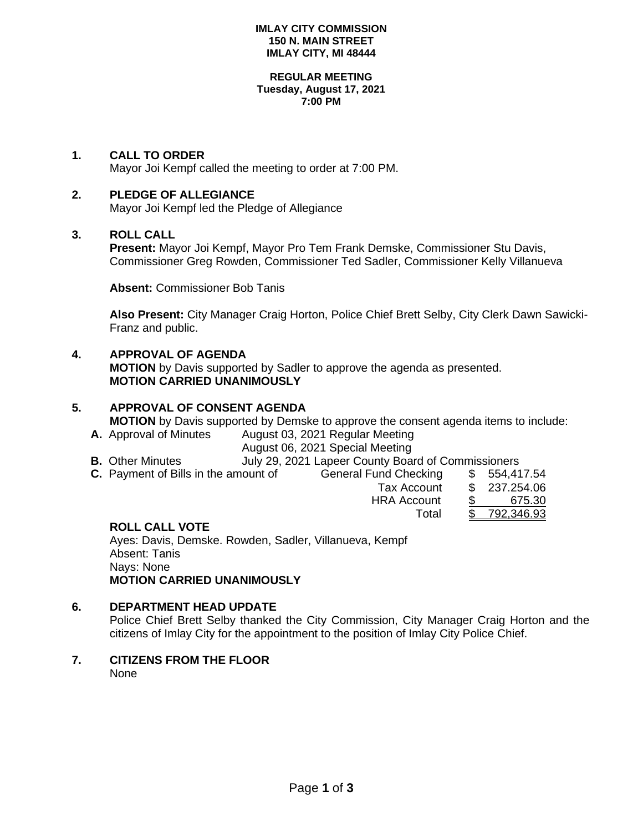#### **IMLAY CITY COMMISSION 150 N. MAIN STREET IMLAY CITY, MI 48444**

#### **REGULAR MEETING Tuesday, August 17, 2021 7:00 PM**

### **1. CALL TO ORDER**

Mayor Joi Kempf called the meeting to order at 7:00 PM.

### **2. PLEDGE OF ALLEGIANCE**

Mayor Joi Kempf led the Pledge of Allegiance

### **3. ROLL CALL**

**Present:** Mayor Joi Kempf, Mayor Pro Tem Frank Demske, Commissioner Stu Davis, Commissioner Greg Rowden, Commissioner Ted Sadler, Commissioner Kelly Villanueva

**Absent:** Commissioner Bob Tanis

**Also Present:** City Manager Craig Horton, Police Chief Brett Selby, City Clerk Dawn Sawicki-Franz and public.

### **4. APPROVAL OF AGENDA**

**MOTION** by Davis supported by Sadler to approve the agenda as presented. **MOTION CARRIED UNANIMOUSLY**

## **5. APPROVAL OF CONSENT AGENDA MOTION** by Davis supported by Demske to approve the consent agenda items to include:

- **A.** Approval of Minutes August 03, 2021 Regular Meeting August 06, 2021 Special Meeting
- **B.** Other Minutes **Interpret County Board of Commissioners**
- **C.** Payment of Bills in the amount of General Fund Checking \$ 554,417.54

 Tax Account \$ 237.254.06 HRA Account \$ 675.30 Total \$ 792,346.93

## **ROLL CALL VOTE**

Ayes: Davis, Demske. Rowden, Sadler, Villanueva, Kempf Absent: Tanis Nays: None **MOTION CARRIED UNANIMOUSLY**

#### **6. DEPARTMENT HEAD UPDATE**

Police Chief Brett Selby thanked the City Commission, City Manager Craig Horton and the citizens of Imlay City for the appointment to the position of Imlay City Police Chief.

#### **7. CITIZENS FROM THE FLOOR** None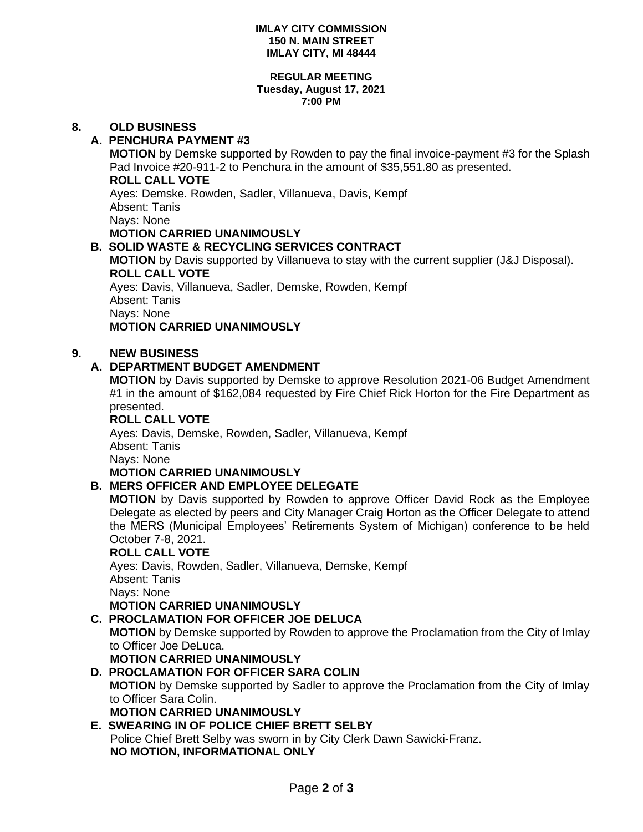#### **IMLAY CITY COMMISSION 150 N. MAIN STREET IMLAY CITY, MI 48444**

#### **REGULAR MEETING Tuesday, August 17, 2021 7:00 PM**

### **8. OLD BUSINESS**

## **A. PENCHURA PAYMENT #3**

**MOTION** by Demske supported by Rowden to pay the final invoice-payment #3 for the Splash Pad Invoice #20-911-2 to Penchura in the amount of \$35,551.80 as presented.

#### **ROLL CALL VOTE**

Ayes: Demske. Rowden, Sadler, Villanueva, Davis, Kempf Absent: Tanis Nays: None **MOTION CARRIED UNANIMOUSLY**

## **B. SOLID WASTE & RECYCLING SERVICES CONTRACT**

**MOTION** by Davis supported by Villanueva to stay with the current supplier (J&J Disposal). **ROLL CALL VOTE**

Ayes: Davis, Villanueva, Sadler, Demske, Rowden, Kempf Absent: Tanis Nays: None

**MOTION CARRIED UNANIMOUSLY**

### **9. NEW BUSINESS**

## **A. DEPARTMENT BUDGET AMENDMENT**

**MOTION** by Davis supported by Demske to approve Resolution 2021-06 Budget Amendment #1 in the amount of \$162,084 requested by Fire Chief Rick Horton for the Fire Department as presented.

#### **ROLL CALL VOTE**

Ayes: Davis, Demske, Rowden, Sadler, Villanueva, Kempf Absent: Tanis Nays: None

# **MOTION CARRIED UNANIMOUSLY**

## **B. MERS OFFICER AND EMPLOYEE DELEGATE**

**MOTION** by Davis supported by Rowden to approve Officer David Rock as the Employee Delegate as elected by peers and City Manager Craig Horton as the Officer Delegate to attend the MERS (Municipal Employees' Retirements System of Michigan) conference to be held October 7-8, 2021.

#### **ROLL CALL VOTE**

Ayes: Davis, Rowden, Sadler, Villanueva, Demske, Kempf Absent: Tanis Nays: None

**MOTION CARRIED UNANIMOUSLY**

# **C. PROCLAMATION FOR OFFICER JOE DELUCA**

**MOTION** by Demske supported by Rowden to approve the Proclamation from the City of Imlay to Officer Joe DeLuca.

**MOTION CARRIED UNANIMOUSLY**

# **D. PROCLAMATION FOR OFFICER SARA COLIN**

**MOTION** by Demske supported by Sadler to approve the Proclamation from the City of Imlay to Officer Sara Colin.

**MOTION CARRIED UNANIMOUSLY**

# **E. SWEARING IN OF POLICE CHIEF BRETT SELBY**

Police Chief Brett Selby was sworn in by City Clerk Dawn Sawicki-Franz.  **NO MOTION, INFORMATIONAL ONLY**